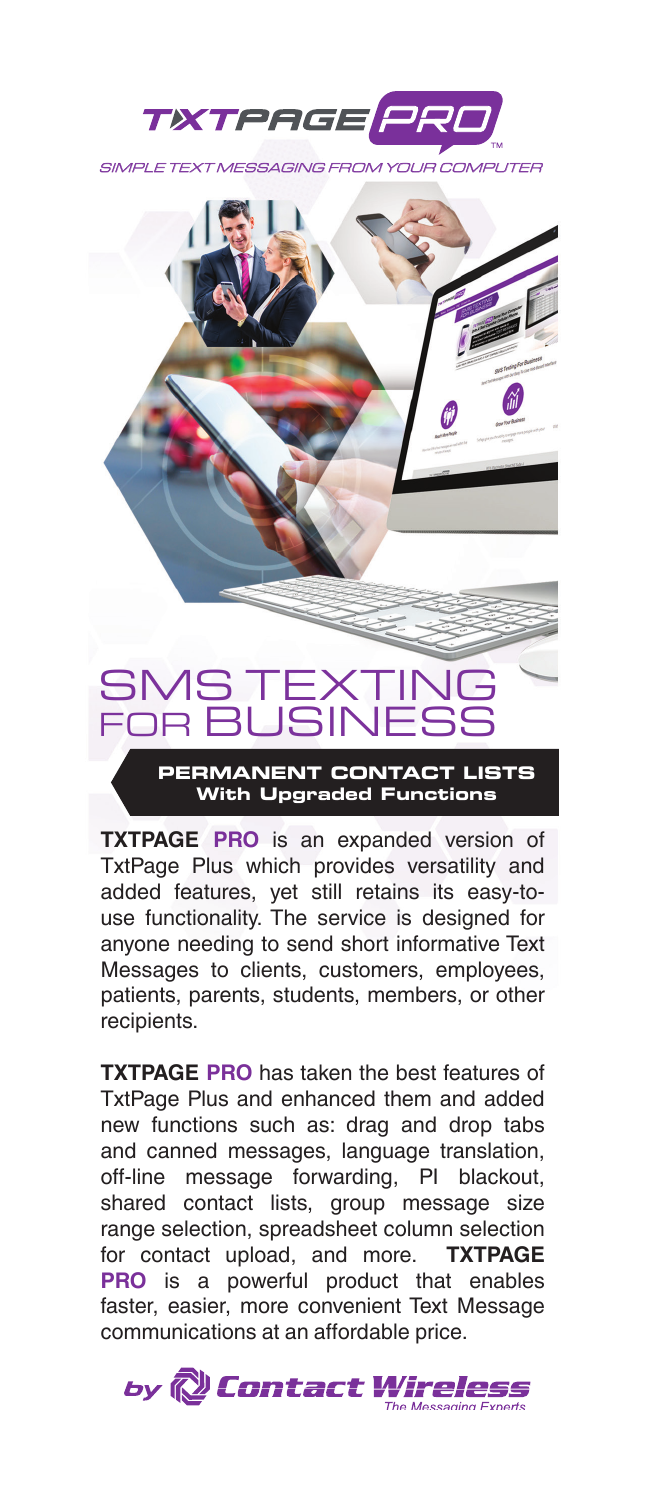



**TXTPAGE PRO** is an expanded version of TxtPage Plus which provides versatility and added features, yet still retains its easy-touse functionality. The service is designed for anyone needing to send short informative Text Messages to clients, customers, employees, patients, parents, students, members, or other recipients.

**TXTPAGE PRO** has taken the best features of TxtPage Plus and enhanced them and added new functions such as: drag and drop tabs and canned messages, language translation, off-line message forwarding, PI blackout, shared contact lists, group message size range selection, spreadsheet column selection for contact upload, and more. **TXTPAGE PRO** is a powerful product that enables faster, easier, more convenient Text Message communications at an affordable price.